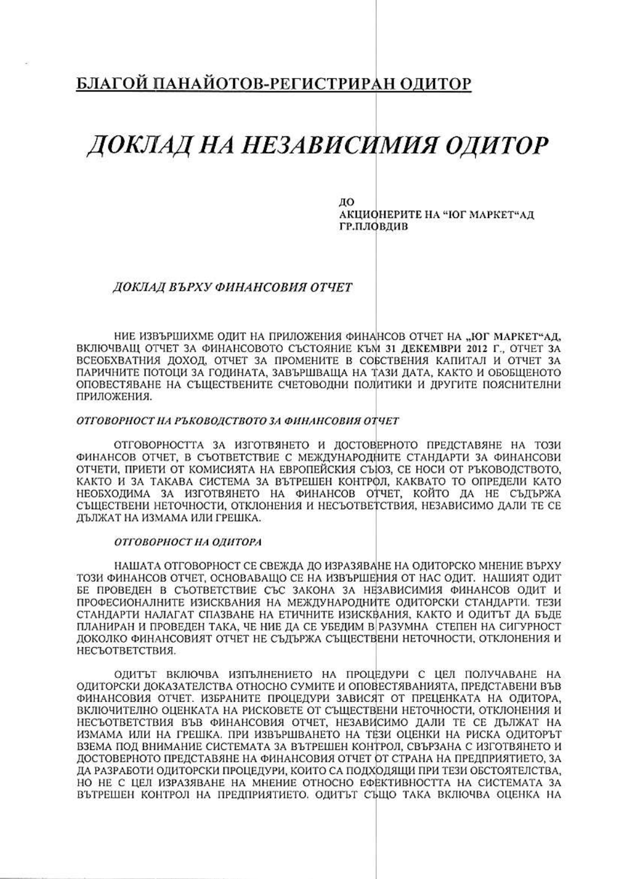## БЛАГОЙ ПАНАЙОТОВ-РЕГИСТРИРАН ОДИТОР

# ДОКЛАД НА НЕЗАВИСИМИЯ ОДИТОР

ЛО АКЦИОНЕРИТЕ НА "ЮГ МАРКЕТ" АД ГР.ПЛОВДИВ

### ДОКЛАД ВЪРХУ ФИНАНСОВИЯ ОТЧЕТ

НИЕ ИЗВЪРШИХМЕ ОДИТ НА ПРИЛОЖЕНИЯ ФИНАНСОВ ОТЧЕТ НА "ЮГ МАРКЕТ"АД, ВКЛЮЧВАЩ ОТЧЕТ ЗА ФИНАНСОВОТО СЪСТОЯНИЕ КЪМ 31 ДЕКЕМВРИ 2012 Г., ОТЧЕТ ЗА ВСЕОБХВАТНИЯ ДОХОД, ОТЧЕТ ЗА ПРОМЕНИТЕ В СОБСТВЕНИЯ КАПИТАЛ И ОТЧЕТ ЗА ПАРИЧНИТЕ ПОТОЦИ ЗА ГОДИНАТА, ЗАВЪРШВАЩА НА ТАЗИ ДАТА, КАКТО И ОБОБЩЕНОТО ОПОВЕСТЯВАНЕ НА СЪЩЕСТВЕНИТЕ СЧЕТОВОДНИ ПОЛИТИКИ И ДРУГИТЕ ПОЯСНИТЕЛНИ ПРИЛОЖЕНИЯ.

### ОТГОВОРНОСТ НА РЪКОВОДСТВОТО ЗА ФИНАНСОВИЯ ОТЧЕТ

ОТГОВОРНОСТТА ЗА ИЗГОТВЯНЕТО И ДОСТОВЕРНОТО ПРЕДСТАВЯНЕ НА ТОЗИ ФИНАНСОВ ОТЧЕТ, В СЪОТВЕТСТВИЕ С МЕЖДУНАРОДНИТЕ СТАНДАРТИ ЗА ФИНАНСОВИ ОТЧЕТИ, ПРИЕТИ ОТ КОМИСИЯТА НА ЕВРОПЕЙСКИЯ СЪЮЗ, СЕ НОСИ ОТ РЪКОВОДСТВОТО, КАКТО И ЗА ТАКАВА СИСТЕМА ЗА ВЪТРЕШЕН КОНТРФЛ, КАКВАТО ТО ОПРЕДЕЛИ КАТО НЕОБХОДИМА ЗА ИЗГОТВЯНЕТО НА ФИНАНСОВ ОТЧЕТ, КОЙТО ДА НЕ СЪДЪРЖА СЪЩЕСТВЕНИ НЕТОЧНОСТИ, ОТКЛОНЕНИЯ И НЕСЪОТВЕТСТВИЯ, НЕЗАВИСИМО ДАЛИ ТЕ СЕ ДЪЛЖАТ НА ИЗМАМА ИЛИ ГРЕШКА.

#### ОТГОВОРНОСТ НА ОДИТОРА

НАШАТА ОТГОВОРНОСТ СЕ СВЕЖДА ДО ИЗРАЗЯВАНЕ НА ОДИТОРСКО МНЕНИЕ ВЪРХУ ТОЗИ ФИНАНСОВ ОТЧЕТ, ОСНОВАВАШО СЕ НА ИЗВЪРШЕНИЯ ОТ НАС ОДИТ. НАШИЯТ ОДИТ БЕ ПРОВЕДЕН В СЪОТВЕТСТВИЕ СЪС ЗАКОНА ЗА НЕЗАВИСИМИЯ ФИНАНСОВ ОДИТ И ПРОФЕСИОНАЛНИТЕ ИЗИСКВАНИЯ НА МЕЖДУНАРОДНИТЕ ОДИТОРСКИ СТАНДАРТИ. ТЕЗИ СТАНДАРТИ НАЛАГАТ СПАЗВАНЕ НА ЕТИЧНИТЕ ИЗИСКВАНИЯ, КАКТО И ОДИТЪТ ДА БЪДЕ ПЛАНИРАН И ПРОВЕДЕН ТАКА, ЧЕ НИЕ ДА СЕ УБЕДИМ В РАЗУМНА СТЕПЕН НА СИГУРНОСТ ДОКОЛКО ФИНАНСОВИЯТ ОТЧЕТ НЕ СЪДЪРЖА СЪЩЕСТВЕНИ НЕТОЧНОСТИ, ОТКЛОНЕНИЯ И НЕСЪОТВЕТСТВИЯ.

ОДИТЪТ ВКЛЮЧВА ИЗПЪЛНЕНИЕТО НА ПРОЦЕДУРИ С ЦЕЛ ПОЛУЧАВАНЕ НА ОДИТОРСКИ ДОКАЗАТЕЛСТВА ОТНОСНО СУМИТЕ И ОПОВЕСТЯВАНИЯТА, ПРЕДСТАВЕНИ ВЪВ ФИНАНСОВИЯ ОТЧЕТ. ИЗБРАНИТЕ ПРОЦЕДУРИ ЗАВИСЯТ ОТ ПРЕЦЕНКАТА НА ОДИТОРА, ВКЛЮЧИТЕЛНО ОЦЕНКАТА НА РИСКОВЕТЕ ОТ СЪЩЕСТВЕНИ НЕТОЧНОСТИ, ОТКЛОНЕНИЯ И НЕСЪОТВЕТСТВИЯ ВЪВ ФИНАНСОВИЯ ОТЧЕТ, НЕЗАВИСИМО ДАЛИ ТЕ СЕ ДЪЛЖАТ НА ИЗМАМА ИЛИ НА ГРЕШКА. ПРИ ИЗВЪРШВАНЕТО НА ТЕЗИ ОЦЕНКИ НА РИСКА ОДИТОРЪТ ВЗЕМА ПОД ВНИМАНИЕ СИСТЕМАТА ЗА ВЪТРЕШЕН КОНТРОЛ, СВЪРЗАНА С ИЗГОТВЯНЕТО И ДОСТОВЕРНОТО ПРЕДСТАВЯНЕ НА ФИНАНСОВИЯ ОТЧЕТ ОТ СТРАНА НА ПРЕДПРИЯТИЕТО, ЗА ДА РАЗРАБОТИ ОДИТОРСКИ ПРОЦЕДУРИ, КОИТО СА ПОДХОДЯЩИ ПРИ ТЕЗИ ОБСТОЯТЕЛСТВА, НО НЕ С ЦЕЛ ИЗРАЗЯВАНЕ НА МНЕНИЕ ОТНОСНО ЕФЕКТИВНОСТТА НА СИСТЕМАТА ЗА ВЪТРЕШЕН КОНТРОЛ НА ПРЕДПРИЯТИЕТО. ОДИТЪТ СЪЩО ТАКА ВКЛЮЧВА ОЦЕНКА НА